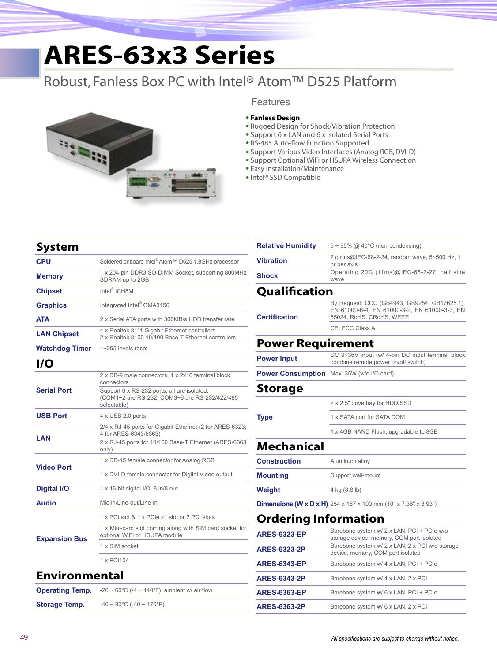# **ARES-63x3 Series**

### Robust, Fanless Box PC with Intel® Atom™ D525 Platform



#### Features

#### • **Fanless Design**

- • Rugged Design for Shock/Vibration Protection
- Support 6 x LAN and 6 x Isolated Serial Ports
- RS-485 Auto-flow Function Supported
- • Support Various Video Interfaces (Analog RGB, DVI-D)
- Support Optional WiFi or HSUPA Wireless Connection
- Easy Installation/Maintenance
- • Intel® SSD Compatible

| System                 |                                                                                                             |  |  |
|------------------------|-------------------------------------------------------------------------------------------------------------|--|--|
| <b>CPU</b>             | Soldered onboard Intel® Atom™ D525 1.8GHz processor                                                         |  |  |
| <b>Memory</b>          | 1 x 204-pin DDR3 SO-DIMM Socket, supporting 800MHz<br>SDRAM up to 2GB                                       |  |  |
| <b>Chipset</b>         | Intel <sup>®</sup> ICH8M                                                                                    |  |  |
| <b>Graphics</b>        | Integrated Intel® GMA3150                                                                                   |  |  |
| <b>ATA</b>             | 2 x Serial ATA ports with 300MB/s HDD transfer rate                                                         |  |  |
| <b>LAN Chipset</b>     | 4 x Realtek 8111 Gigabit Ethernet controllers<br>2 x Realtek 8100 10/100 Base-T Ethernet controllers        |  |  |
| <b>Watchdog Timer</b>  | 1~255 levels reset                                                                                          |  |  |
| I/O                    |                                                                                                             |  |  |
| <b>Serial Port</b>     | 2 x DB-9 male connectors, 1 x 2x10 terminal block<br>connectors                                             |  |  |
|                        | Support 6 x RS-232 ports, all are isolated.<br>(COM1~2 are RS-232, COM3~6 are RS-232/422/485<br>selectable) |  |  |
| <b>USB Port</b>        | 4 x USB 2.0 ports                                                                                           |  |  |
| LAN                    | 2/4 x RJ-45 ports for Gigabit Ethernet (2 for ARES-6323;<br>4 for ARES-6343/6363)                           |  |  |
|                        | 2 x RJ-45 ports for 10/100 Base-T Ethernet (ARES-6363<br>only)                                              |  |  |
| <b>Video Port</b>      | 1 x DB-15 female connector for Analog RGB                                                                   |  |  |
|                        | 1 x DVI-D female connector for Digital Video output                                                         |  |  |
| <b>Digital I/O</b>     | 1 x 16-bit digital I/O, 8 in/8 out                                                                          |  |  |
| <b>Audio</b>           | Mic-in/Line-out/Line-in                                                                                     |  |  |
| <b>Expansion Bus</b>   | 1 x PCI slot & 1 x PCIe x1 slot or 2 PCI slots                                                              |  |  |
|                        | 1 x Mini-card slot coming along with SIM card socket for<br>optional WiFi or HSUPA module                   |  |  |
|                        | 1 x SIM socket                                                                                              |  |  |
|                        | 1 x PCI104                                                                                                  |  |  |
| <b>Environmental</b>   |                                                                                                             |  |  |
| <b>Operating Temp.</b> | -20 ~ 60°C (-4 ~ 140°F), ambient w/ air flow                                                                |  |  |

**Storage Temp.**  $-40 \sim 80^{\circ}$ C (-40 ~ 176°F)

| <b>Relative Humidity</b>    | $5 \sim 95\%$ @ 40°C (non-condensing)                                                                                    |  |
|-----------------------------|--------------------------------------------------------------------------------------------------------------------------|--|
| <b>Vibration</b>            | 2 g rms@IEC-68-2-34, random wave, 5~500 Hz, 1<br>hr per axis                                                             |  |
| <b>Shock</b>                | Operating 20G (11ms)@IEC-68-2-27, half sine<br>wave                                                                      |  |
| Qualification               |                                                                                                                          |  |
| <b>Certification</b>        | By Request: CCC (GB4943, GB9254, GB17625.1),<br>EN 61000-6-4, EN 61000-3-2, EN 61000-3-3, EN<br>55024, RoHS, CRoHS, WEEE |  |
|                             | CE. FCC Class A                                                                                                          |  |
| <b>Power Requirement</b>    |                                                                                                                          |  |
| <b>Power Input</b>          | DC 9~36V input (w/ 4-pin DC input terminal block<br>combine remote power on/off switch)                                  |  |
| <b>Power Consumption</b>    | Max. 35W (w/o I/O card)                                                                                                  |  |
| <b>Storage</b>              |                                                                                                                          |  |
|                             | 2 x 2.5" drive bay for HDD/SSD                                                                                           |  |
| <b>Type</b>                 | 1 x SATA port for SATA DOM                                                                                               |  |
|                             | 1 x 4GB NAND Flash, upgradable to 8GB                                                                                    |  |
| <b>Mechanical</b>           |                                                                                                                          |  |
| <b>Construction</b>         | Aluminum alloy                                                                                                           |  |
| <b>Mounting</b>             | Support wall-mount                                                                                                       |  |
| Weight                      | 4 kg (8.8 lb)                                                                                                            |  |
|                             | <b>Dimensions (W x D x H)</b> 254 x 187 x 100 mm (10" x 7.36" x 3.93")                                                   |  |
| <b>Ordering Information</b> |                                                                                                                          |  |
| <b>ARES-6323-EP</b>         | Barebone system w/ 2 x LAN, PCI + PCIe w/o<br>storage device, memory, COM port isolated                                  |  |
| <b>ARES-6323-2P</b>         | Barebone system w/ 2 x LAN, 2 x PCI w/o storage<br>device, memory, COM port isolated                                     |  |
| <b>ARES-6343-EP</b>         | Barebone system w/ 4 x LAN, PCI + PCIe                                                                                   |  |
| <b>ARES-6343-2P</b>         | Barebone system w/ 4 x LAN, 2 x PCI                                                                                      |  |
| <b>ARES-6363-EP</b>         | Barebone system w/ 6 x LAN, PCI + PCIe                                                                                   |  |

**ARES-6363-2P** Barebone system w/ 6 x LAN, 2 x PCI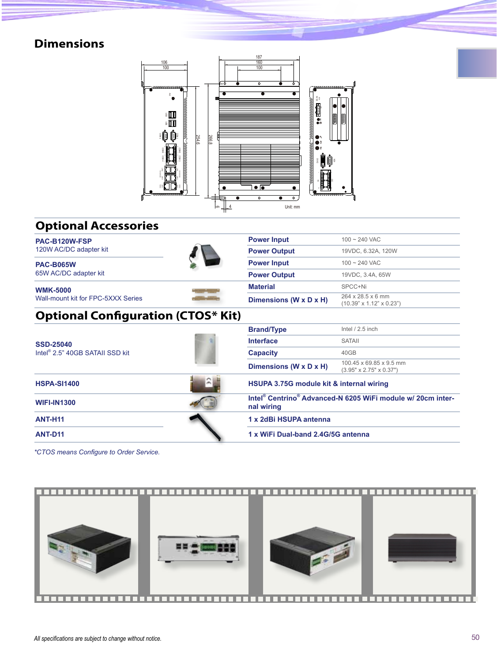### **Dimensions**



### **Optional Accessories**

| PAC-B120W-FSP                               | <b>Power Input</b>     | $100 - 240$ VAC                                                                     |  |  |
|---------------------------------------------|------------------------|-------------------------------------------------------------------------------------|--|--|
| 120W AC/DC adapter kit                      | <b>Power Output</b>    | 19VDC, 6.32A, 120W                                                                  |  |  |
| <b>PAC-B065W</b>                            | <b>Power Input</b>     | $100 - 240$ VAC                                                                     |  |  |
| 65W AC/DC adapter kit                       | <b>Power Output</b>    | 19VDC, 3.4A, 65W                                                                    |  |  |
| <b>WMK-5000</b>                             | <b>Material</b>        | SPCC+Ni                                                                             |  |  |
| Wall-mount kit for FPC-5XXX Series          | Dimensions (W x D x H) | 264 x 28.5 x 6 mm<br>$(10.39" \times 1.12" \times 0.23")$                           |  |  |
| <b>Optional Configuration (CTOS* Kit)</b>   |                        |                                                                                     |  |  |
|                                             | <b>Brand/Type</b>      | Intel $/2.5$ inch                                                                   |  |  |
| <b>SSD-25040</b>                            | <b>Interface</b>       | <b>SATAII</b>                                                                       |  |  |
| Intel <sup>®</sup> 2.5" 40GB SATAII SSD kit | <b>Capacity</b>        | 40GB                                                                                |  |  |
|                                             | Dimensions (W x D x H) | 100.45 x 69.85 x 9.5 mm<br>$(3.95" \times 2.75" \times 0.37")$                      |  |  |
| <b>HSPA-SI1400</b>                          |                        | HSUPA 3.75G module kit & internal wiring                                            |  |  |
| <b>WIFI-IN1300</b>                          | nal wiring             | Intel <sup>®</sup> Centrino <sup>®</sup> Advanced-N 6205 WiFi module w/ 20cm inter- |  |  |
| <b>ANT-H11</b>                              | 1 x 2dBi HSUPA antenna |                                                                                     |  |  |
| <b>ANT-D11</b>                              |                        | 1 x WiFi Dual-band 2.4G/5G antenna                                                  |  |  |

*\*CTOS means Configure to Order Service.*